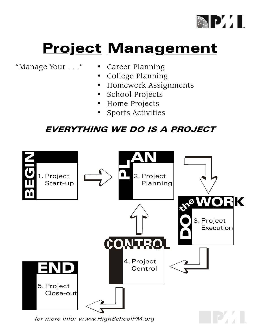

# **Project Management**

"Manage Your . . ." • Career Planning

- 
- College Planning
- Homework Assignments
- School Projects
- Home Projects
- Sports Activities

#### EVERYTHING WE DO IS A PROJECT

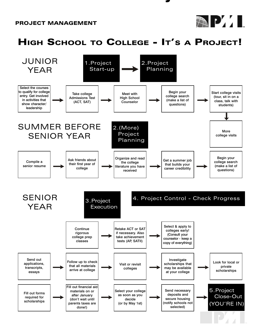#### PROJECT MANAGEMENT



# HIGH SCHOOL TO COLLEGE - IT'S A PROJECT!

**j** 

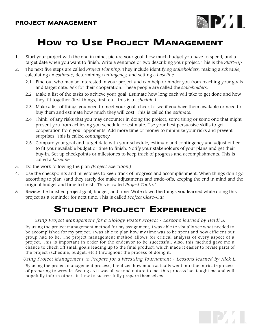

**TPAL** 

# HOW TO USE PROJECT MANAGEMENT

- 1. Start your project with the end in mind, picture your goal, how much budget you have to spend, and a target date when you want to finish. Write a sentence or two describing your project. This is the Start-Up.
- 2. The next five steps are called Project Planning. They include identifying stakeholders, making a schedule, calculating an estimate, determining contingency, and setting a baseline.
	- 2.1 Find out who may be interested in your project and can help or hinder you from reaching your goals and target date. Ask for their cooperation. These people are called the stakeholders.
	- 2.2 Make a list of the tasks to achieve your goal. Estimate how long each will take to get done and how they fit together (first things, first, etc., this is a schedule.)
	- 2.3 Make a list of things you need to meet your goal, check to see if you have them available or need to buy them and estimate how much they will cost. This is called the estimate.
	- 2.4 Think of any risks that you may encounter in doing the project, some thing or some one that might prevent you from achieving you schedule or estimate. Use your best persuasive skills to get cooperation from your opponents. Add more time or money to minimize your risks and prevent surprises. This is called *contingency*.
	- 2.5 Compare your goal and target date with your schedule, estimate and contingency and adjust either to fit your available budget or time to finish. Notify your stakeholders of your plans and get their buy-in. Set up checkpoints or milestones to keep track of progress and accomplishments. This is called a baseline.
- 3. Do the work following the plan (Project Execution.)
- 4. Use the checkpoints and milestones to keep track of progress and accomplishment. When things don't go according to plan, (and they rarely do) make adjustments and trade-offs, keeping the end in mind and the original budget and time to finish. This is called Project Control.
- 5. Review the finished project goal, budget, and time. Write down the things you learned while doing this project as a reminder for next time. This is called Project Close-Out.

### **STUDENT PROJECT EXPERIENCE**

#### Using Project Management for a Biology Poster Project - Lessons learned by Heidi S.

By using the project management method for my assignment, I was able to visually see what needed to be accomplished for my project. I was able to plan how my time was to be spent and how efficient our group had to be. The project management method allows for critical analysis of every aspect of a project. This is important in order for the endeavor to be successful. Also, this method gave me a chance to check off small goals leading up to the final product, which made it easier to revise parts of the project (schedule, budget, etc.) throughout the process of doing it.

Using Project Management to Prepare for a Wrestling Tournament - Lessons learned by Nick L.

By using the project management process, I realized how much actually went into the intricate process of preparing to wrestle. Seeing as it was all second nature to me, this process has taught me and will hopefully inform others in how to successfully prepare themselves.